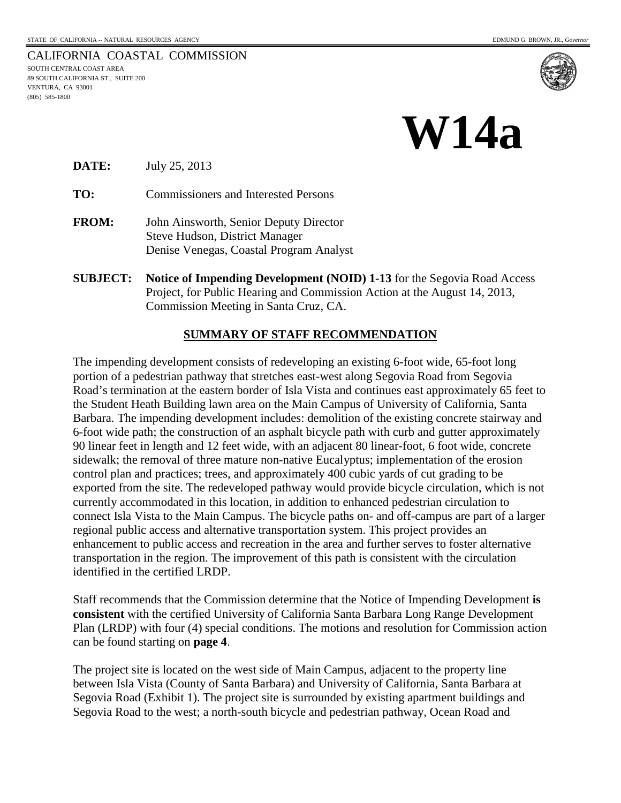#### CALIFORNIA COASTAL COMMISSION SOUTH CENTRAL COAST AREA 89 SOUTH CALIFORNIA ST., SUITE 200 VENTURA, CA 93001 (805) 585-1800



**DATE:** July 25, 2013

**TO:** Commissioners and Interested Persons

- **FROM:** John Ainsworth, Senior Deputy Director Steve Hudson, District Manager Denise Venegas, Coastal Program Analyst
- **SUBJECT: Notice of Impending Development (NOID) 1-13** for the Segovia Road Access Project, for Public Hearing and Commission Action at the August 14, 2013, Commission Meeting in Santa Cruz, CA.

#### **SUMMARY OF STAFF RECOMMENDATION**

The impending development consists of redeveloping an existing 6-foot wide, 65-foot long portion of a pedestrian pathway that stretches east-west along Segovia Road from Segovia Road's termination at the eastern border of Isla Vista and continues east approximately 65 feet to the Student Heath Building lawn area on the Main Campus of University of California, Santa Barbara. The impending development includes: demolition of the existing concrete stairway and 6-foot wide path; the construction of an asphalt bicycle path with curb and gutter approximately 90 linear feet in length and 12 feet wide, with an adjacent 80 linear-foot, 6 foot wide, concrete sidewalk; the removal of three mature non-native Eucalyptus; implementation of the erosion control plan and practices; trees, and approximately 400 cubic yards of cut grading to be exported from the site. The redeveloped pathway would provide bicycle circulation, which is not currently accommodated in this location, in addition to enhanced pedestrian circulation to connect Isla Vista to the Main Campus. The bicycle paths on- and off-campus are part of a larger regional public access and alternative transportation system. This project provides an enhancement to public access and recreation in the area and further serves to foster alternative transportation in the region. The improvement of this path is consistent with the circulation identified in the certified LRDP.

Staff recommends that the Commission determine that the Notice of Impending Development **is consistent** with the certified University of California Santa Barbara Long Range Development Plan (LRDP) with four (4) special conditions. The motions and resolution for Commission action can be found starting on **page 4**.

The project site is located on the west side of Main Campus, adjacent to the property line between Isla Vista (County of Santa Barbara) and University of California, Santa Barbara at Segovia Road (Exhibit 1). The project site is surrounded by existing apartment buildings and Segovia Road to the west; a north-south bicycle and pedestrian pathway, Ocean Road and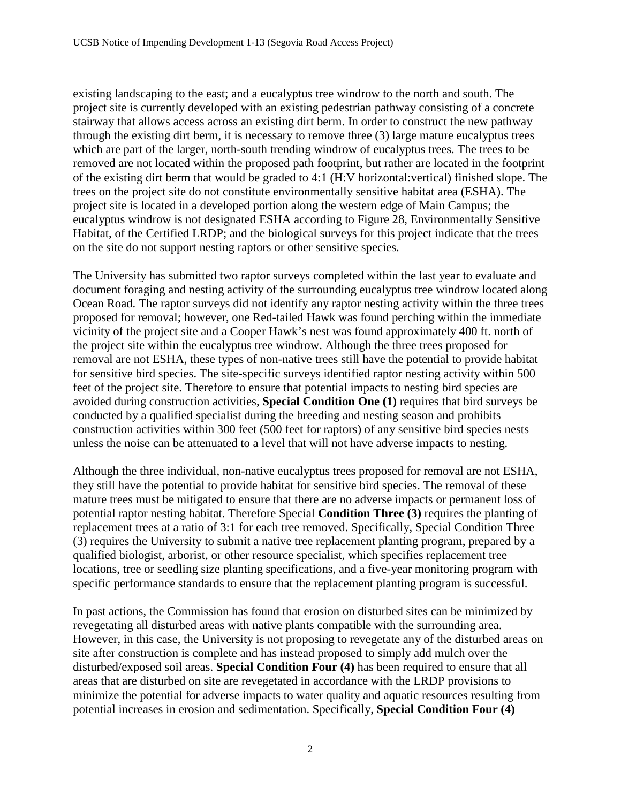existing landscaping to the east; and a eucalyptus tree windrow to the north and south. The project site is currently developed with an existing pedestrian pathway consisting of a concrete stairway that allows access across an existing dirt berm. In order to construct the new pathway through the existing dirt berm, it is necessary to remove three (3) large mature eucalyptus trees which are part of the larger, north-south trending windrow of eucalyptus trees. The trees to be removed are not located within the proposed path footprint, but rather are located in the footprint of the existing dirt berm that would be graded to 4:1 (H:V horizontal:vertical) finished slope. The trees on the project site do not constitute environmentally sensitive habitat area (ESHA). The project site is located in a developed portion along the western edge of Main Campus; the eucalyptus windrow is not designated ESHA according to Figure 28, Environmentally Sensitive Habitat, of the Certified LRDP; and the biological surveys for this project indicate that the trees on the site do not support nesting raptors or other sensitive species.

The University has submitted two raptor surveys completed within the last year to evaluate and document foraging and nesting activity of the surrounding eucalyptus tree windrow located along Ocean Road. The raptor surveys did not identify any raptor nesting activity within the three trees proposed for removal; however, one Red-tailed Hawk was found perching within the immediate vicinity of the project site and a Cooper Hawk's nest was found approximately 400 ft. north of the project site within the eucalyptus tree windrow. Although the three trees proposed for removal are not ESHA, these types of non-native trees still have the potential to provide habitat for sensitive bird species. The site-specific surveys identified raptor nesting activity within 500 feet of the project site. Therefore to ensure that potential impacts to nesting bird species are avoided during construction activities, **Special Condition One (1)** requires that bird surveys be conducted by a qualified specialist during the breeding and nesting season and prohibits construction activities within 300 feet (500 feet for raptors) of any sensitive bird species nests unless the noise can be attenuated to a level that will not have adverse impacts to nesting.

Although the three individual, non-native eucalyptus trees proposed for removal are not ESHA, they still have the potential to provide habitat for sensitive bird species. The removal of these mature trees must be mitigated to ensure that there are no adverse impacts or permanent loss of potential raptor nesting habitat. Therefore Special **Condition Three (3)** requires the planting of replacement trees at a ratio of 3:1 for each tree removed. Specifically, Special Condition Three (3) requires the University to submit a native tree replacement planting program, prepared by a qualified biologist, arborist, or other resource specialist, which specifies replacement tree locations, tree or seedling size planting specifications, and a five-year monitoring program with specific performance standards to ensure that the replacement planting program is successful.

In past actions, the Commission has found that erosion on disturbed sites can be minimized by revegetating all disturbed areas with native plants compatible with the surrounding area. However, in this case, the University is not proposing to revegetate any of the disturbed areas on site after construction is complete and has instead proposed to simply add mulch over the disturbed/exposed soil areas. **Special Condition Four (4)** has been required to ensure that all areas that are disturbed on site are revegetated in accordance with the LRDP provisions to minimize the potential for adverse impacts to water quality and aquatic resources resulting from potential increases in erosion and sedimentation. Specifically, **Special Condition Four (4)**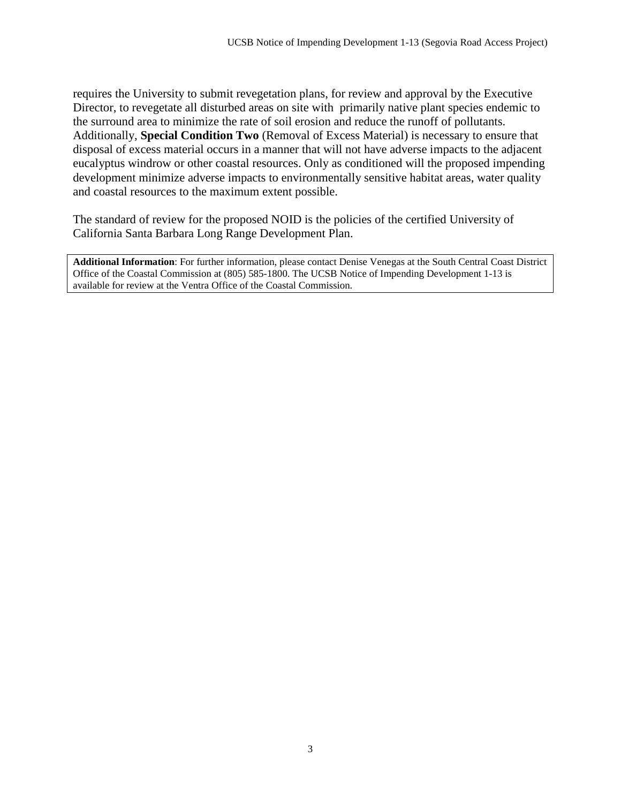requires the University to submit revegetation plans, for review and approval by the Executive Director, to revegetate all disturbed areas on site with primarily native plant species endemic to the surround area to minimize the rate of soil erosion and reduce the runoff of pollutants. Additionally, **Special Condition Two** (Removal of Excess Material) is necessary to ensure that disposal of excess material occurs in a manner that will not have adverse impacts to the adjacent eucalyptus windrow or other coastal resources. Only as conditioned will the proposed impending development minimize adverse impacts to environmentally sensitive habitat areas, water quality and coastal resources to the maximum extent possible.

The standard of review for the proposed NOID is the policies of the certified University of California Santa Barbara Long Range Development Plan.

**Additional Information**: For further information, please contact Denise Venegas at the South Central Coast District Office of the Coastal Commission at (805) 585-1800. The UCSB Notice of Impending Development 1-13 is available for review at the Ventra Office of the Coastal Commission.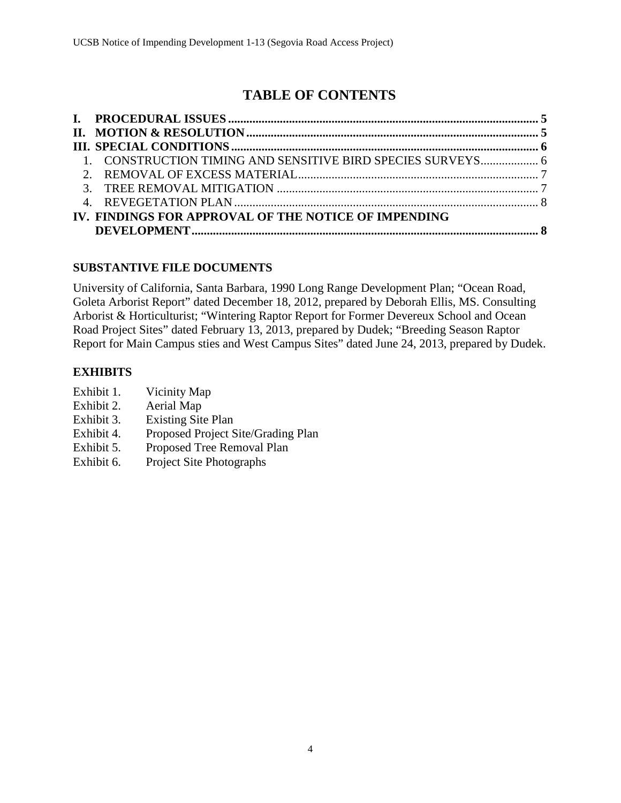# **TABLE OF CONTENTS**

| 1. CONSTRUCTION TIMING AND SENSITIVE BIRD SPECIES SURVEYS 6 |  |
|-------------------------------------------------------------|--|
|                                                             |  |
|                                                             |  |
|                                                             |  |
| IV. FINDINGS FOR APPROVAL OF THE NOTICE OF IMPENDING        |  |
|                                                             |  |

# **SUBSTANTIVE FILE DOCUMENTS**

University of California, Santa Barbara, 1990 Long Range Development Plan; "Ocean Road, Goleta Arborist Report" dated December 18, 2012, prepared by Deborah Ellis, MS. Consulting Arborist & Horticulturist; "Wintering Raptor Report for Former Devereux School and Ocean Road Project Sites" dated February 13, 2013, prepared by Dudek; "Breeding Season Raptor Report for Main Campus sties and West Campus Sites" dated June 24, 2013, prepared by Dudek.

# **EXHIBITS**

- Exhibit 1. Vicinity Map
- Exhibit 2. Aerial Map
- Exhibit 3. Existing Site Plan
- Exhibit 4. Proposed Project Site/Grading Plan
- Exhibit 5. Proposed Tree Removal Plan
- Exhibit 6. Project Site Photographs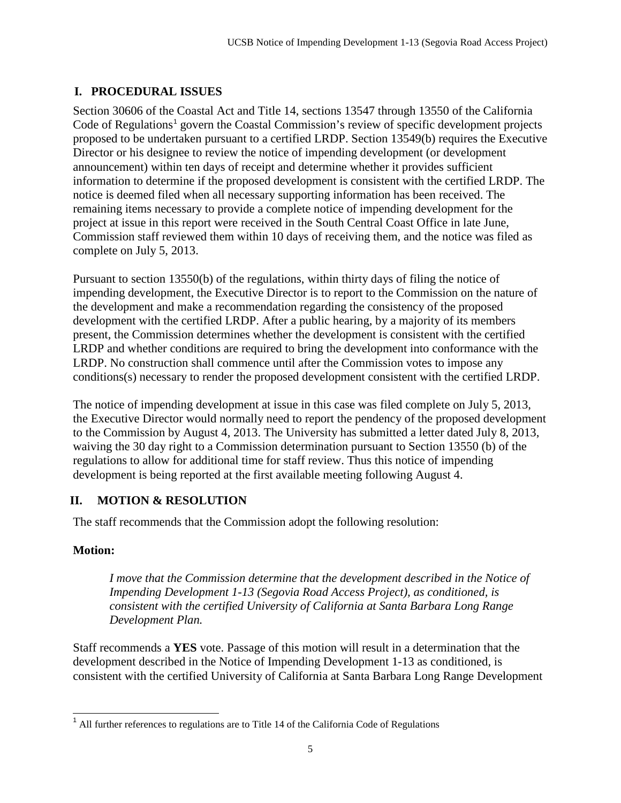# <span id="page-4-0"></span>**I. PROCEDURAL ISSUES**

Section 30606 of the Coastal Act and Title 14, sections 13547 through 13550 of the California Code of Regulations<sup>[1](#page-4-2)</sup> govern the Coastal Commission's review of specific development projects proposed to be undertaken pursuant to a certified LRDP. Section 13549(b) requires the Executive Director or his designee to review the notice of impending development (or development announcement) within ten days of receipt and determine whether it provides sufficient information to determine if the proposed development is consistent with the certified LRDP. The notice is deemed filed when all necessary supporting information has been received. The remaining items necessary to provide a complete notice of impending development for the project at issue in this report were received in the South Central Coast Office in late June, Commission staff reviewed them within 10 days of receiving them, and the notice was filed as complete on July 5, 2013.

Pursuant to section 13550(b) of the regulations, within thirty days of filing the notice of impending development, the Executive Director is to report to the Commission on the nature of the development and make a recommendation regarding the consistency of the proposed development with the certified LRDP. After a public hearing, by a majority of its members present, the Commission determines whether the development is consistent with the certified LRDP and whether conditions are required to bring the development into conformance with the LRDP. No construction shall commence until after the Commission votes to impose any conditions(s) necessary to render the proposed development consistent with the certified LRDP.

The notice of impending development at issue in this case was filed complete on July 5, 2013, the Executive Director would normally need to report the pendency of the proposed development to the Commission by August 4, 2013. The University has submitted a letter dated July 8, 2013, waiving the 30 day right to a Commission determination pursuant to Section 13550 (b) of the regulations to allow for additional time for staff review. Thus this notice of impending development is being reported at the first available meeting following August 4.

# <span id="page-4-1"></span>**II. MOTION & RESOLUTION**

The staff recommends that the Commission adopt the following resolution:

### **Motion:**

*I move that the Commission determine that the development described in the Notice of Impending Development 1-13 (Segovia Road Access Project), as conditioned, is consistent with the certified University of California at Santa Barbara Long Range Development Plan.* 

Staff recommends a **YES** vote. Passage of this motion will result in a determination that the development described in the Notice of Impending Development 1-13 as conditioned, is consistent with the certified University of California at Santa Barbara Long Range Development

<span id="page-4-2"></span> $<sup>1</sup>$  All further references to regulations are to Title 14 of the California Code of Regulations</sup>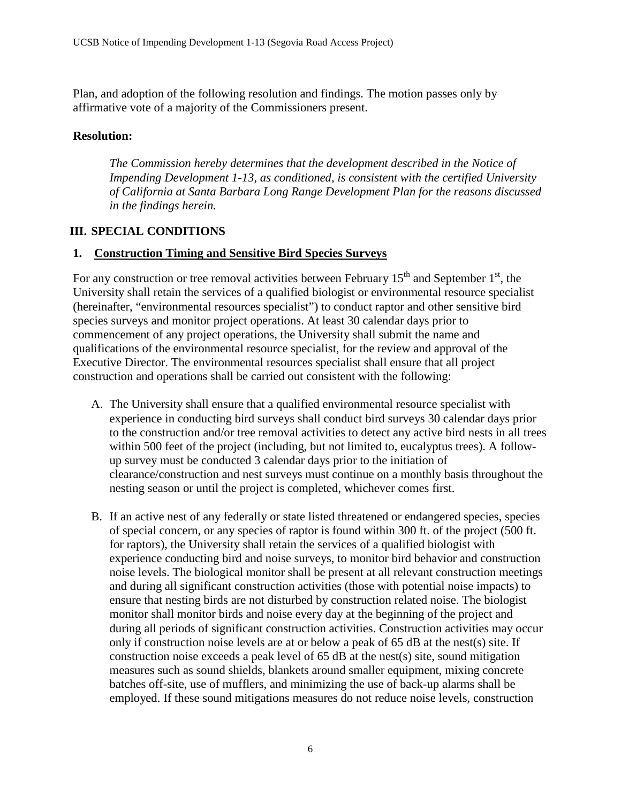Plan, and adoption of the following resolution and findings. The motion passes only by affirmative vote of a majority of the Commissioners present.

#### **Resolution:**

*The Commission hereby determines that the development described in the Notice of Impending Development 1-13, as conditioned, is consistent with the certified University of California at Santa Barbara Long Range Development Plan for the reasons discussed in the findings herein.* 

#### <span id="page-5-0"></span>**III. SPECIAL CONDITIONS**

#### <span id="page-5-1"></span>**1. Construction Timing and Sensitive Bird Species Surveys**

For any construction or tree removal activities between February  $15<sup>th</sup>$  and September  $1<sup>st</sup>$ , the University shall retain the services of a qualified biologist or environmental resource specialist (hereinafter, "environmental resources specialist") to conduct raptor and other sensitive bird species surveys and monitor project operations. At least 30 calendar days prior to commencement of any project operations, the University shall submit the name and qualifications of the environmental resource specialist, for the review and approval of the Executive Director. The environmental resources specialist shall ensure that all project construction and operations shall be carried out consistent with the following:

- A. The University shall ensure that a qualified environmental resource specialist with experience in conducting bird surveys shall conduct bird surveys 30 calendar days prior to the construction and/or tree removal activities to detect any active bird nests in all trees within 500 feet of the project (including, but not limited to, eucalyptus trees). A followup survey must be conducted 3 calendar days prior to the initiation of clearance/construction and nest surveys must continue on a monthly basis throughout the nesting season or until the project is completed, whichever comes first.
- B. If an active nest of any federally or state listed threatened or endangered species, species of special concern, or any species of raptor is found within 300 ft. of the project (500 ft. for raptors), the University shall retain the services of a qualified biologist with experience conducting bird and noise surveys, to monitor bird behavior and construction noise levels. The biological monitor shall be present at all relevant construction meetings and during all significant construction activities (those with potential noise impacts) to ensure that nesting birds are not disturbed by construction related noise. The biologist monitor shall monitor birds and noise every day at the beginning of the project and during all periods of significant construction activities. Construction activities may occur only if construction noise levels are at or below a peak of 65 dB at the nest(s) site. If construction noise exceeds a peak level of 65 dB at the nest(s) site, sound mitigation measures such as sound shields, blankets around smaller equipment, mixing concrete batches off-site, use of mufflers, and minimizing the use of back-up alarms shall be employed. If these sound mitigations measures do not reduce noise levels, construction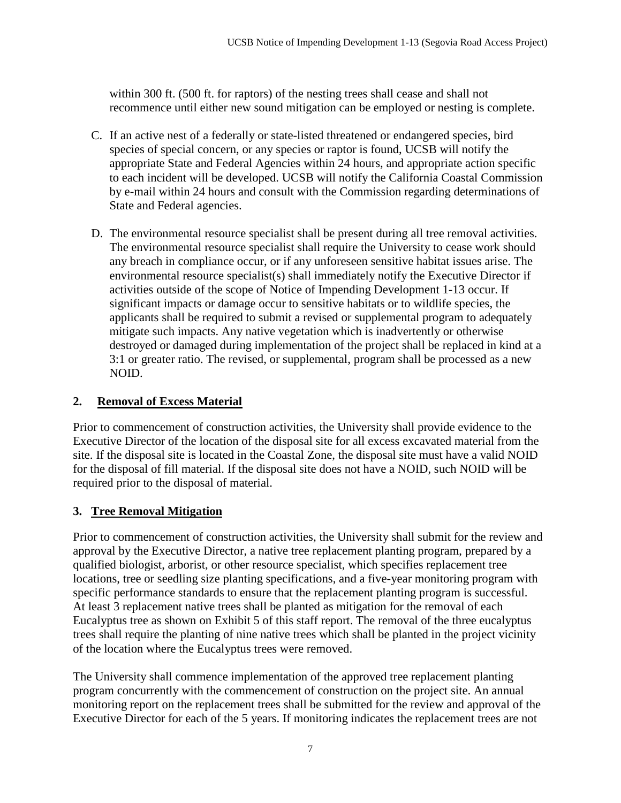within 300 ft. (500 ft. for raptors) of the nesting trees shall cease and shall not recommence until either new sound mitigation can be employed or nesting is complete.

- C. If an active nest of a federally or state-listed threatened or endangered species, bird species of special concern, or any species or raptor is found, UCSB will notify the appropriate State and Federal Agencies within 24 hours, and appropriate action specific to each incident will be developed. UCSB will notify the California Coastal Commission by e-mail within 24 hours and consult with the Commission regarding determinations of State and Federal agencies.
- D. The environmental resource specialist shall be present during all tree removal activities. The environmental resource specialist shall require the University to cease work should any breach in compliance occur, or if any unforeseen sensitive habitat issues arise. The environmental resource specialist(s) shall immediately notify the Executive Director if activities outside of the scope of Notice of Impending Development 1-13 occur. If significant impacts or damage occur to sensitive habitats or to wildlife species, the applicants shall be required to submit a revised or supplemental program to adequately mitigate such impacts. Any native vegetation which is inadvertently or otherwise destroyed or damaged during implementation of the project shall be replaced in kind at a 3:1 or greater ratio. The revised, or supplemental, program shall be processed as a new NOID.

#### <span id="page-6-0"></span>**2. Removal of Excess Material**

Prior to commencement of construction activities, the University shall provide evidence to the Executive Director of the location of the disposal site for all excess excavated material from the site. If the disposal site is located in the Coastal Zone, the disposal site must have a valid NOID for the disposal of fill material. If the disposal site does not have a NOID, such NOID will be required prior to the disposal of material.

#### <span id="page-6-1"></span>**3. Tree Removal Mitigation**

Prior to commencement of construction activities, the University shall submit for the review and approval by the Executive Director, a native tree replacement planting program, prepared by a qualified biologist, arborist, or other resource specialist, which specifies replacement tree locations, tree or seedling size planting specifications, and a five-year monitoring program with specific performance standards to ensure that the replacement planting program is successful. At least 3 replacement native trees shall be planted as mitigation for the removal of each Eucalyptus tree as shown on Exhibit 5 of this staff report. The removal of the three eucalyptus trees shall require the planting of nine native trees which shall be planted in the project vicinity of the location where the Eucalyptus trees were removed.

The University shall commence implementation of the approved tree replacement planting program concurrently with the commencement of construction on the project site. An annual monitoring report on the replacement trees shall be submitted for the review and approval of the Executive Director for each of the 5 years. If monitoring indicates the replacement trees are not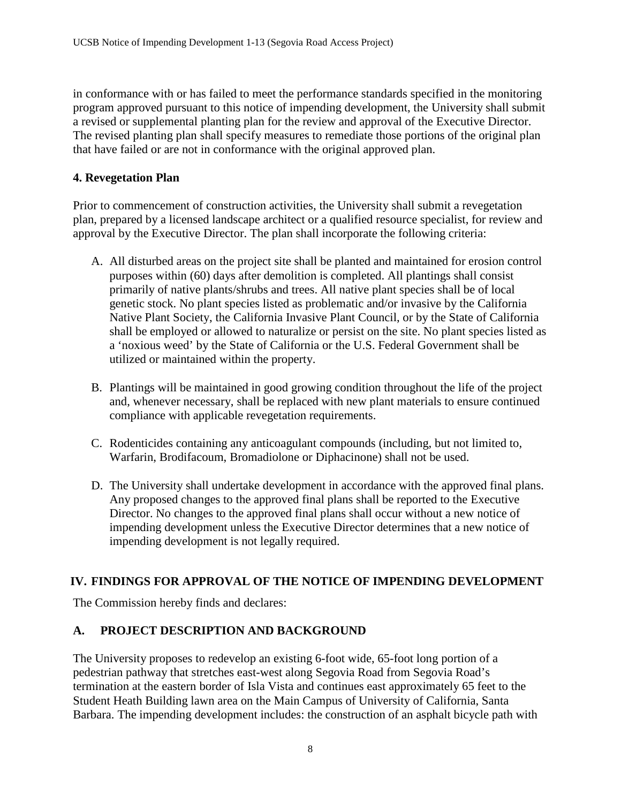in conformance with or has failed to meet the performance standards specified in the monitoring program approved pursuant to this notice of impending development, the University shall submit a revised or supplemental planting plan for the review and approval of the Executive Director. The revised planting plan shall specify measures to remediate those portions of the original plan that have failed or are not in conformance with the original approved plan.

#### <span id="page-7-0"></span>**4. Revegetation Plan**

Prior to commencement of construction activities, the University shall submit a revegetation plan, prepared by a licensed landscape architect or a qualified resource specialist, for review and approval by the Executive Director. The plan shall incorporate the following criteria:

- A. All disturbed areas on the project site shall be planted and maintained for erosion control purposes within (60) days after demolition is completed. All plantings shall consist primarily of native plants/shrubs and trees. All native plant species shall be of local genetic stock. No plant species listed as problematic and/or invasive by the California Native Plant Society, the California Invasive Plant Council, or by the State of California shall be employed or allowed to naturalize or persist on the site. No plant species listed as a 'noxious weed' by the State of California or the U.S. Federal Government shall be utilized or maintained within the property.
- B. Plantings will be maintained in good growing condition throughout the life of the project and, whenever necessary, shall be replaced with new plant materials to ensure continued compliance with applicable revegetation requirements.
- C. Rodenticides containing any anticoagulant compounds (including, but not limited to, Warfarin, Brodifacoum, Bromadiolone or Diphacinone) shall not be used.
- D. The University shall undertake development in accordance with the approved final plans. Any proposed changes to the approved final plans shall be reported to the Executive Director. No changes to the approved final plans shall occur without a new notice of impending development unless the Executive Director determines that a new notice of impending development is not legally required.

#### <span id="page-7-1"></span>**IV. FINDINGS FOR APPROVAL OF THE NOTICE OF IMPENDING DEVELOPMENT**

The Commission hereby finds and declares:

#### **A. PROJECT DESCRIPTION AND BACKGROUND**

The University proposes to redevelop an existing 6-foot wide, 65-foot long portion of a pedestrian pathway that stretches east-west along Segovia Road from Segovia Road's termination at the eastern border of Isla Vista and continues east approximately 65 feet to the Student Heath Building lawn area on the Main Campus of University of California, Santa Barbara. The impending development includes: the construction of an asphalt bicycle path with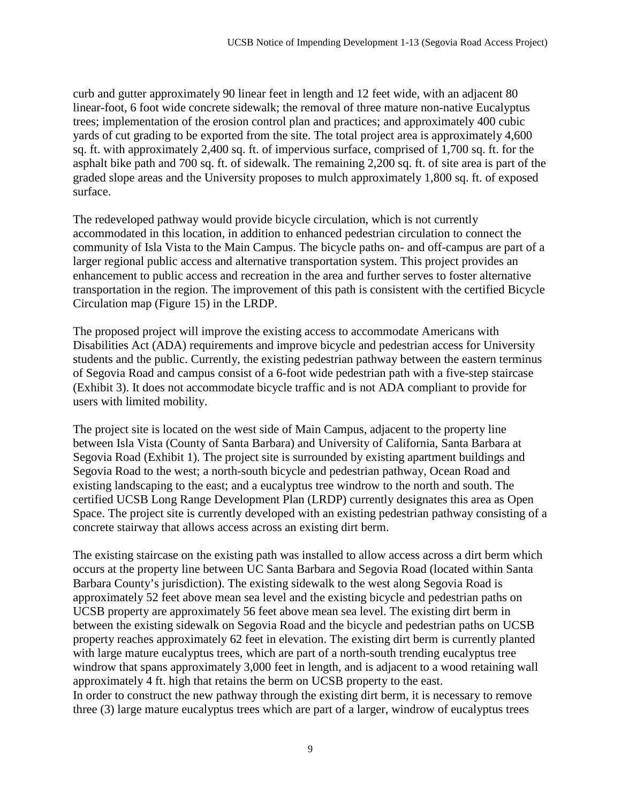curb and gutter approximately 90 linear feet in length and 12 feet wide, with an adjacent 80 linear-foot, 6 foot wide concrete sidewalk; the removal of three mature non-native Eucalyptus trees; implementation of the erosion control plan and practices; and approximately 400 cubic yards of cut grading to be exported from the site. The total project area is approximately 4,600 sq. ft. with approximately 2,400 sq. ft. of impervious surface, comprised of 1,700 sq. ft. for the asphalt bike path and 700 sq. ft. of sidewalk. The remaining 2,200 sq. ft. of site area is part of the graded slope areas and the University proposes to mulch approximately 1,800 sq. ft. of exposed surface.

The redeveloped pathway would provide bicycle circulation, which is not currently accommodated in this location, in addition to enhanced pedestrian circulation to connect the community of Isla Vista to the Main Campus. The bicycle paths on- and off-campus are part of a larger regional public access and alternative transportation system. This project provides an enhancement to public access and recreation in the area and further serves to foster alternative transportation in the region. The improvement of this path is consistent with the certified Bicycle Circulation map (Figure 15) in the LRDP.

The proposed project will improve the existing access to accommodate Americans with Disabilities Act (ADA) requirements and improve bicycle and pedestrian access for University students and the public. Currently, the existing pedestrian pathway between the eastern terminus of Segovia Road and campus consist of a 6-foot wide pedestrian path with a five-step staircase (Exhibit 3). It does not accommodate bicycle traffic and is not ADA compliant to provide for users with limited mobility.

The project site is located on the west side of Main Campus, adjacent to the property line between Isla Vista (County of Santa Barbara) and University of California, Santa Barbara at Segovia Road (Exhibit 1). The project site is surrounded by existing apartment buildings and Segovia Road to the west; a north-south bicycle and pedestrian pathway, Ocean Road and existing landscaping to the east; and a eucalyptus tree windrow to the north and south. The certified UCSB Long Range Development Plan (LRDP) currently designates this area as Open Space. The project site is currently developed with an existing pedestrian pathway consisting of a concrete stairway that allows access across an existing dirt berm.

The existing staircase on the existing path was installed to allow access across a dirt berm which occurs at the property line between UC Santa Barbara and Segovia Road (located within Santa Barbara County's jurisdiction). The existing sidewalk to the west along Segovia Road is approximately 52 feet above mean sea level and the existing bicycle and pedestrian paths on UCSB property are approximately 56 feet above mean sea level. The existing dirt berm in between the existing sidewalk on Segovia Road and the bicycle and pedestrian paths on UCSB property reaches approximately 62 feet in elevation. The existing dirt berm is currently planted with large mature eucalyptus trees, which are part of a north-south trending eucalyptus tree windrow that spans approximately 3,000 feet in length, and is adjacent to a wood retaining wall approximately 4 ft. high that retains the berm on UCSB property to the east. In order to construct the new pathway through the existing dirt berm, it is necessary to remove three (3) large mature eucalyptus trees which are part of a larger, windrow of eucalyptus trees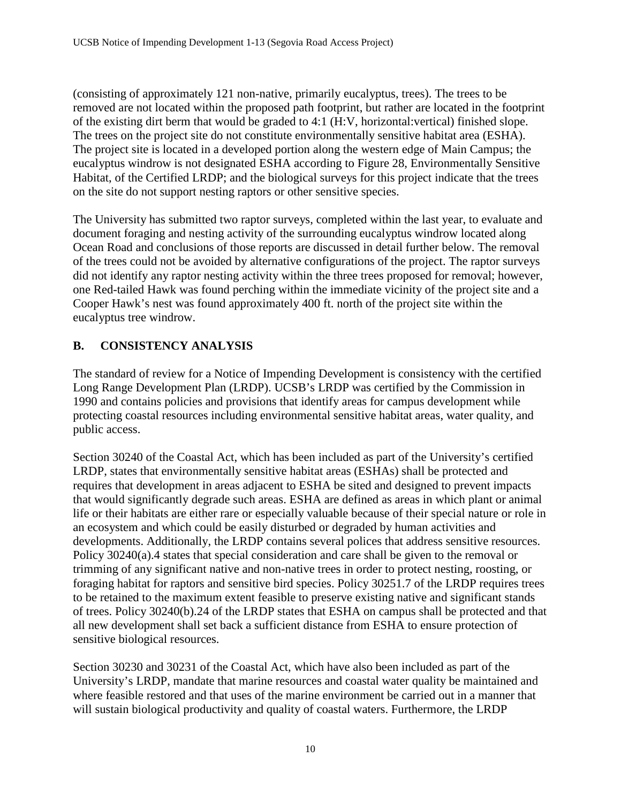(consisting of approximately 121 non-native, primarily eucalyptus, trees). The trees to be removed are not located within the proposed path footprint, but rather are located in the footprint of the existing dirt berm that would be graded to 4:1 (H:V, horizontal:vertical) finished slope. The trees on the project site do not constitute environmentally sensitive habitat area (ESHA). The project site is located in a developed portion along the western edge of Main Campus; the eucalyptus windrow is not designated ESHA according to Figure 28, Environmentally Sensitive Habitat, of the Certified LRDP; and the biological surveys for this project indicate that the trees on the site do not support nesting raptors or other sensitive species.

The University has submitted two raptor surveys, completed within the last year, to evaluate and document foraging and nesting activity of the surrounding eucalyptus windrow located along Ocean Road and conclusions of those reports are discussed in detail further below. The removal of the trees could not be avoided by alternative configurations of the project. The raptor surveys did not identify any raptor nesting activity within the three trees proposed for removal; however, one Red-tailed Hawk was found perching within the immediate vicinity of the project site and a Cooper Hawk's nest was found approximately 400 ft. north of the project site within the eucalyptus tree windrow.

# **B. CONSISTENCY ANALYSIS**

The standard of review for a Notice of Impending Development is consistency with the certified Long Range Development Plan (LRDP). UCSB's LRDP was certified by the Commission in 1990 and contains policies and provisions that identify areas for campus development while protecting coastal resources including environmental sensitive habitat areas, water quality, and public access.

Section 30240 of the Coastal Act, which has been included as part of the University's certified LRDP, states that environmentally sensitive habitat areas (ESHAs) shall be protected and requires that development in areas adjacent to ESHA be sited and designed to prevent impacts that would significantly degrade such areas. ESHA are defined as areas in which plant or animal life or their habitats are either rare or especially valuable because of their special nature or role in an ecosystem and which could be easily disturbed or degraded by human activities and developments. Additionally, the LRDP contains several polices that address sensitive resources. Policy 30240(a).4 states that special consideration and care shall be given to the removal or trimming of any significant native and non-native trees in order to protect nesting, roosting, or foraging habitat for raptors and sensitive bird species. Policy 30251.7 of the LRDP requires trees to be retained to the maximum extent feasible to preserve existing native and significant stands of trees. Policy 30240(b).24 of the LRDP states that ESHA on campus shall be protected and that all new development shall set back a sufficient distance from ESHA to ensure protection of sensitive biological resources.

Section 30230 and 30231 of the Coastal Act, which have also been included as part of the University's LRDP, mandate that marine resources and coastal water quality be maintained and where feasible restored and that uses of the marine environment be carried out in a manner that will sustain biological productivity and quality of coastal waters. Furthermore, the LRDP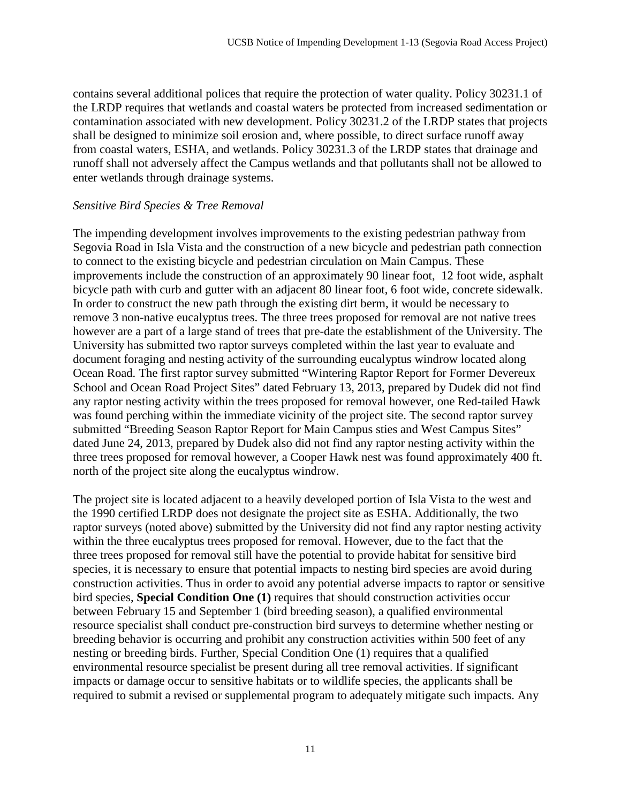contains several additional polices that require the protection of water quality. Policy 30231.1 of the LRDP requires that wetlands and coastal waters be protected from increased sedimentation or contamination associated with new development. Policy 30231.2 of the LRDP states that projects shall be designed to minimize soil erosion and, where possible, to direct surface runoff away from coastal waters, ESHA, and wetlands. Policy 30231.3 of the LRDP states that drainage and runoff shall not adversely affect the Campus wetlands and that pollutants shall not be allowed to enter wetlands through drainage systems.

#### *Sensitive Bird Species & Tree Removal*

The impending development involves improvements to the existing pedestrian pathway from Segovia Road in Isla Vista and the construction of a new bicycle and pedestrian path connection to connect to the existing bicycle and pedestrian circulation on Main Campus. These improvements include the construction of an approximately 90 linear foot, 12 foot wide, asphalt bicycle path with curb and gutter with an adjacent 80 linear foot, 6 foot wide, concrete sidewalk. In order to construct the new path through the existing dirt berm, it would be necessary to remove 3 non-native eucalyptus trees. The three trees proposed for removal are not native trees however are a part of a large stand of trees that pre-date the establishment of the University. The University has submitted two raptor surveys completed within the last year to evaluate and document foraging and nesting activity of the surrounding eucalyptus windrow located along Ocean Road. The first raptor survey submitted "Wintering Raptor Report for Former Devereux School and Ocean Road Project Sites" dated February 13, 2013, prepared by Dudek did not find any raptor nesting activity within the trees proposed for removal however, one Red-tailed Hawk was found perching within the immediate vicinity of the project site. The second raptor survey submitted "Breeding Season Raptor Report for Main Campus sties and West Campus Sites" dated June 24, 2013, prepared by Dudek also did not find any raptor nesting activity within the three trees proposed for removal however, a Cooper Hawk nest was found approximately 400 ft. north of the project site along the eucalyptus windrow.

The project site is located adjacent to a heavily developed portion of Isla Vista to the west and the 1990 certified LRDP does not designate the project site as ESHA. Additionally, the two raptor surveys (noted above) submitted by the University did not find any raptor nesting activity within the three eucalyptus trees proposed for removal. However, due to the fact that the three trees proposed for removal still have the potential to provide habitat for sensitive bird species, it is necessary to ensure that potential impacts to nesting bird species are avoid during construction activities. Thus in order to avoid any potential adverse impacts to raptor or sensitive bird species, **Special Condition One (1)** requires that should construction activities occur between February 15 and September 1 (bird breeding season), a qualified environmental resource specialist shall conduct pre-construction bird surveys to determine whether nesting or breeding behavior is occurring and prohibit any construction activities within 500 feet of any nesting or breeding birds. Further, Special Condition One (1) requires that a qualified environmental resource specialist be present during all tree removal activities. If significant impacts or damage occur to sensitive habitats or to wildlife species, the applicants shall be required to submit a revised or supplemental program to adequately mitigate such impacts. Any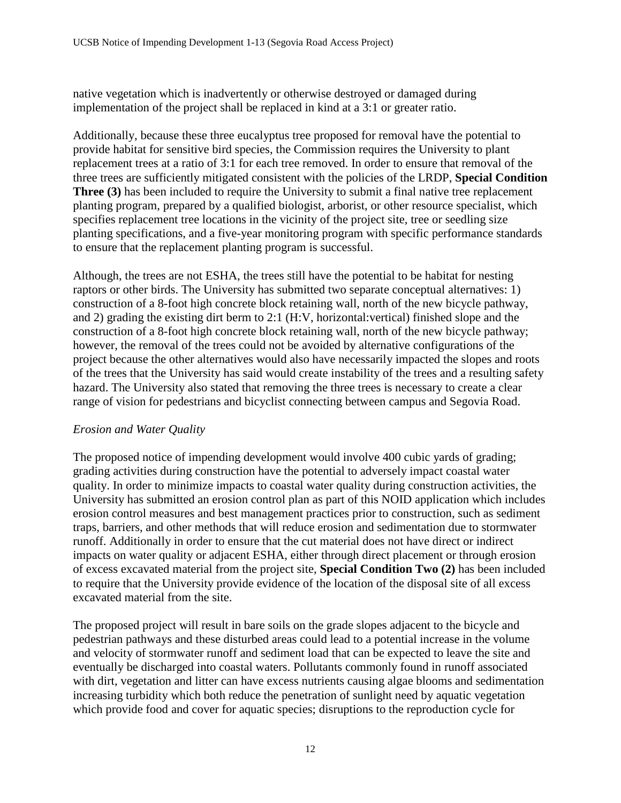native vegetation which is inadvertently or otherwise destroyed or damaged during implementation of the project shall be replaced in kind at a 3:1 or greater ratio.

Additionally, because these three eucalyptus tree proposed for removal have the potential to provide habitat for sensitive bird species, the Commission requires the University to plant replacement trees at a ratio of 3:1 for each tree removed. In order to ensure that removal of the three trees are sufficiently mitigated consistent with the policies of the LRDP, **Special Condition Three (3)** has been included to require the University to submit a final native tree replacement planting program, prepared by a qualified biologist, arborist, or other resource specialist, which specifies replacement tree locations in the vicinity of the project site, tree or seedling size planting specifications, and a five-year monitoring program with specific performance standards to ensure that the replacement planting program is successful.

Although, the trees are not ESHA, the trees still have the potential to be habitat for nesting raptors or other birds. The University has submitted two separate conceptual alternatives: 1) construction of a 8-foot high concrete block retaining wall, north of the new bicycle pathway, and 2) grading the existing dirt berm to 2:1 (H:V, horizontal:vertical) finished slope and the construction of a 8-foot high concrete block retaining wall, north of the new bicycle pathway; however, the removal of the trees could not be avoided by alternative configurations of the project because the other alternatives would also have necessarily impacted the slopes and roots of the trees that the University has said would create instability of the trees and a resulting safety hazard. The University also stated that removing the three trees is necessary to create a clear range of vision for pedestrians and bicyclist connecting between campus and Segovia Road.

### *Erosion and Water Quality*

The proposed notice of impending development would involve 400 cubic yards of grading; grading activities during construction have the potential to adversely impact coastal water quality. In order to minimize impacts to coastal water quality during construction activities, the University has submitted an erosion control plan as part of this NOID application which includes erosion control measures and best management practices prior to construction, such as sediment traps, barriers, and other methods that will reduce erosion and sedimentation due to stormwater runoff. Additionally in order to ensure that the cut material does not have direct or indirect impacts on water quality or adjacent ESHA, either through direct placement or through erosion of excess excavated material from the project site, **Special Condition Two (2)** has been included to require that the University provide evidence of the location of the disposal site of all excess excavated material from the site.

The proposed project will result in bare soils on the grade slopes adjacent to the bicycle and pedestrian pathways and these disturbed areas could lead to a potential increase in the volume and velocity of stormwater runoff and sediment load that can be expected to leave the site and eventually be discharged into coastal waters. Pollutants commonly found in runoff associated with dirt, vegetation and litter can have excess nutrients causing algae blooms and sedimentation increasing turbidity which both reduce the penetration of sunlight need by aquatic vegetation which provide food and cover for aquatic species; disruptions to the reproduction cycle for